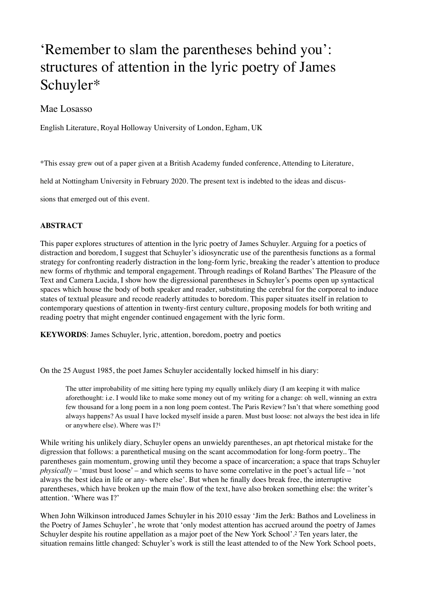## 'Remember to slam the parentheses behind you': structures of attention in the lyric poetry of James Schuyler\*

## Mae Losasso

English Literature, Royal Holloway University of London, Egham, UK

\*This essay grew out of a paper given at a British Academy funded conference, Attending to Literature,

held at Nottingham University in February 2020. The present text is indebted to the ideas and discus-

sions that emerged out of this event.

## **ABSTRACT**

This paper explores structures of attention in the lyric poetry of James Schuyler. Arguing for a poetics of distraction and boredom, I suggest that Schuyler's idiosyncratic use of the parenthesis functions as a formal strategy for confronting readerly distraction in the long-form lyric, breaking the reader's attention to produce new forms of rhythmic and temporal engagement. Through readings of Roland Barthes' The Pleasure of the Text and Camera Lucida, I show how the digressional parentheses in Schuyler's poems open up syntactical spaces which house the body of both speaker and reader, substituting the cerebral for the corporeal to induce states of textual pleasure and recode readerly attitudes to boredom. This paper situates itself in relation to contemporary questions of attention in twenty-first century culture, proposing models for both writing and reading poetry that might engender continued engagement with the lyric form.

**KEYWORDS**: James Schuyler, lyric, attention, boredom, poetry and poetics

On the 25 August 1985, the poet James Schuyler accidentally locked himself in his diary:

<span id="page-0-0"></span>The utter improbability of me sitting here typing my equally unlikely diary (I am keeping it with malice aforethought: i.e. I would like to make some money out of my writing for a change: oh well, winning an extra few thousand for a long poem in a non long poem contest. The Paris Review? Isn't that where something good always happens? As usual I have locked myself inside a paren. Must bust loose: not always the best idea in life or anywhere else). Where was I?[1](#page-12-0)

While writing his unlikely diary, Schuyler opens an unwieldy parentheses, an apt rhetorical mistake for the digression that follows: a parenthetical musing on the scant accommodation for long-form poetry.. The parentheses gain momentum, growing until they become a space of incarceration; a space that traps Schuyler *physically* – 'must bust loose' – and which seems to have some correlative in the poet's actual life – 'not always the best idea in life or any- where else'. But when he finally does break free, the interruptive parentheses, which have broken up the main flow of the text, have also broken something else: the writer's attention. 'Where was I?'

<span id="page-0-1"></span>When John Wilkinson introduced James Schuyler in his 2010 essay 'Jim the Jerk: Bathos and Loveliness in the Poetry of James Schuyler', he wrote that 'only modest attention has accrued around the poetry of James Schuyler despite his routine appellation as a major poet of the New York School'. Ten years later, the situation remains little changed: Schuyler's work is still the least attended to of the New York School poets,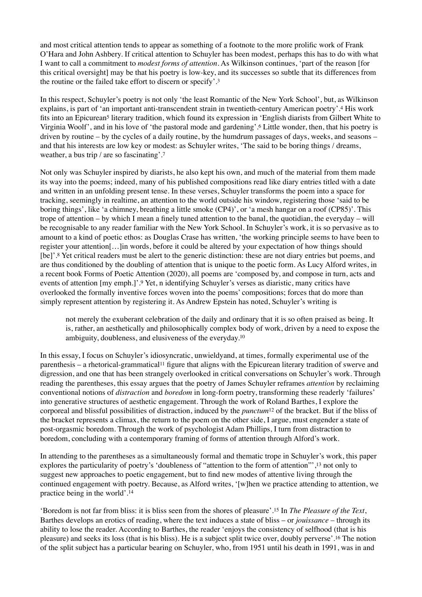and most critical attention tends to appear as something of a footnote to the more prolific work of Frank O'Hara and John Ashbery. If critical attention to Schuyler has been modest, perhaps this has to do with what I want to call a commitment to *modest forms of attention*. As Wilkinson continues, 'part of the reason [for this critical oversight] may be that his poetry is low-key, and its successes so subtle that its differences from the routine or the failed take effort to discern or specify'.[3](#page-12-2)

<span id="page-1-3"></span><span id="page-1-2"></span><span id="page-1-1"></span><span id="page-1-0"></span>In this respect, Schuyler's poetry is not only 'the least Romantic of the New York School', but, as Wilkinson explains, is part of 'an important anti-transcendent strain in twentieth-century American poetry'[.](#page-12-3)<sup>[4](#page-12-3)</sup> His work fits i[n](#page-12-4)to an Epicurean<sup>[5](#page-12-4)</sup> literary tradition, which found its expression in 'English diarists from Gilbert White to Virginia Woolf', and in his love of 'the pastoral mode and gardening'.<sup>[6](#page-12-5)</sup> Little wonder, then, that his poetry is driven by routine – by the cycles of a daily routine, by the humdrum passages of days, weeks, and seasons – and that his interests are low key or modest: as Schuyler writes, 'The said to be boring things / dreams, weather, a bus trip / are so fascinating'[.7](#page-12-6)

<span id="page-1-4"></span>Not only was Schuyler inspired by diarists, he also kept his own, and much of the material from them made its way into the poems; indeed, many of his published compositions read like diary entries titled with a date and written in an unfolding present tense. In these verses, Schuyler transforms the poem into a space for tracking, seemingly in realtime, an attention to the world outside his window, registering those 'said to be boring things', like 'a chimney, breathing a little smoke (CP4)', or 'a mesh hangar on a roof (CP85)'. This trope of attention – by which I mean a finely tuned attention to the banal, the quotidian, the everyday – will be recognisable to any reader familiar with the New York School. In Schuyler's work, it is so pervasive as to amount to a kind of poetic ethos: as Douglas Crase has written, 'the working principle seems to have been to register your attention[…]in words, before it could be altered by your expectation of how things should [be]'.<sup>[8](#page-12-7)</sup> Yet critical readers must be alert to the generic distinction: these are not diary entries but poems, and are thus conditioned by the doubling of attention that is unique to the poetic form. As Lucy Alford writes, in a recent book Forms of Poetic Attention (2020), all poems are 'composed by, and compose in turn, acts and events of attention [my emph[.](#page-12-8)]'.<sup>[9](#page-12-8)</sup> Yet, n identifying Schuyler's verses as diaristic, many critics have overlooked the formally inventive forces woven into the poems' compositions; forces that do more than simply represent attention by registering it. As Andrew Epstein has noted, Schuyler's writing is

<span id="page-1-9"></span><span id="page-1-8"></span><span id="page-1-7"></span><span id="page-1-6"></span><span id="page-1-5"></span>not merely the exuberant celebration of the daily and ordinary that it is so often praised as being. It is, rather, an aesthetically and philosophically complex body of work, driven by a need to expose the ambiguity, doubleness, and elusiveness of the everyday[.10](#page-12-9)

In this essay, I focus on Schuyler's idiosyncratic, unwieldyand, at times, formally experimental use of the parenthesis – a rhetorical-grammatical<sup>[11](#page-12-10)</sup> figure that aligns with the Epicurean literary tradition of swerve and digression, and one that has been strangely overlooked in critical conversations on Schuyler's work. Through reading the parentheses, this essay argues that the poetry of James Schuyler reframes *attention* by reclaiming conventional notions of *distraction* and *boredom* in long-form poetry, transforming these readerly 'failures' into generative structures of aesthetic engagement. Through the work of Roland Barthes, I explore the corporeal and blissful possibilities of distraction, induced by the *punctum*<sup>[12](#page-12-11)</sup> of the bracket. But if the bliss of the bracket represents a climax, the return to the poem on the other side, I argue, must engender a state of post-orgasmic boredom. Through the work of psychologist Adam Phillips, I turn from distraction to boredom, concluding with a contemporary framing of forms of attention through Alford's work.

<span id="page-1-10"></span>In attending to the parentheses as a simultaneously formal and thematic trope in Schuyler's work, this paper explores the particularity of poetry's 'doubleness of "attention to the form of attention"'[,](#page-12-12) <sup>[13](#page-12-12)</sup> not only to suggest new approaches to poetic engagement, but to find new modes of attentive living through the continued engagement with poetry. Because, as Alford writes, '[w]hen we practice attending to attention, we practice being in the world'[.14](#page-12-13)

<span id="page-1-13"></span><span id="page-1-12"></span><span id="page-1-11"></span>'Boredom is not far from bliss: it is bliss seen from the shores of pleasure'[.](#page-12-14) In *The Pleasure of the Text*, 15 Barthes develops an erotics of reading, where the text induces a state of bliss – or *jouissance* – through its ability to lose the reader. According to Barthes, the reader 'enjoys the consistency of selfhood (that is his pleasure) and seeks its loss (that is his bliss). He is a subject split twice over, doubly perverse'.<sup>[16](#page-12-15)</sup> The notion of the split subject has a particular bearing on Schuyler, who, from 1951 until his death in 1991, was in and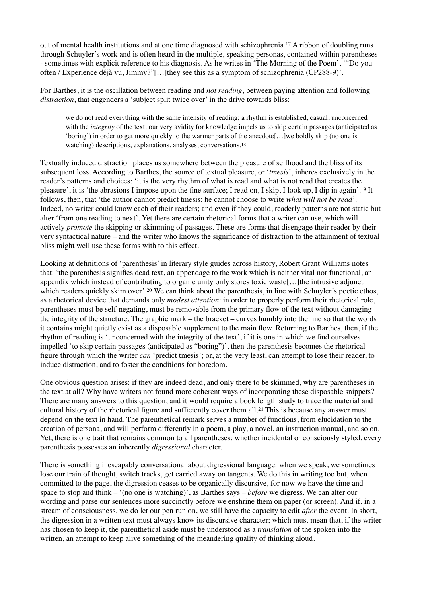out of mental health institutions and at one time diagnosed with schizophrenia[.](#page-12-16)<sup>[17](#page-12-16)</sup> A ribbon of doubling runs through Schuyler's work and is often heard in the multiple, speaking personas, contained within parentheses - sometimes with explicit reference to his diagnosis. As he writes in 'The Morning of the Poem', '"Do you often / Experience déjà vu, Jimmy?"[…]they see this as a symptom of schizophrenia (CP288-9)'.

For Barthes, it is the oscillation between reading and *not reading*, between paying attention and following *distraction*, that engenders a 'subject split twice over' in the drive towards bliss:

<span id="page-2-2"></span><span id="page-2-1"></span><span id="page-2-0"></span>we do not read everything with the same intensity of reading; a rhythm is established, casual, unconcerned with the *integrity* of the text; our very avidity for knowledge impels us to skip certain passages (anticipated as 'boring') in order to get more quickly to the warmer parts of the anecdote[…]we boldly skip (no one is watching) descriptions, explanations, analyses, conversations.<sup>18</sup>

Textually induced distraction places us somewhere between the pleasure of selfhood and the bliss of its subsequent loss. According to Barthes, the source of textual pleasure, or '*tmesis*', inheres exclusively in the reader's patterns and choices: 'it is the very rhythm of what is read and what is not read that creates the pleasure<sup>7</sup>, it is 'the abrasions I impose upon the fine surface; I read on, I skip, I look up, I dip in again'[.](#page-12-18)<sup>[19](#page-12-18)</sup> It follows, then, that 'the author cannot predict tmesis: he cannot choose to write *what will not be read*'. Indeed, no writer could know each of their readers; and even if they could, readerly patterns are not static but alter 'from one reading to next'. Yet there are certain rhetorical forms that a writer can use, which will actively *promote* the skipping or skimming of passages. These are forms that disengage their reader by their very syntactical nature – and the writer who knows the significance of distraction to the attainment of textual bliss might well use these forms with to this effect.

<span id="page-2-3"></span>Looking at definitions of 'parenthesis' in literary style guides across history, Robert Grant Williams notes that: 'the parenthesis signifies dead text, an appendage to the work which is neither vital nor functional, an appendix which instead of contributing to organic unity only stores toxic waste[…]the intrusive adjunct which readers quickly skim over'[.](#page-12-19)<sup>[20](#page-12-19)</sup> We can think about the parenthesis, in line with Schuyler's poetic ethos, as a rhetorical device that demands only *modest attention*: in order to properly perform their rhetorical role, parentheses must be self-negating, must be removable from the primary flow of the text without damaging the integrity of the structure. The graphic mark – the bracket – curves humbly into the line so that the words it contains might quietly exist as a disposable supplement to the main flow. Returning to Barthes, then, if the rhythm of reading is 'unconcerned with the integrity of the text', if it is one in which we find ourselves impelled 'to skip certain passages (anticipated as "boring")', then the parenthesis becomes the rhetorical figure through which the writer *can* 'predict tmesis'; or, at the very least, can attempt to lose their reader, to induce distraction, and to foster the conditions for boredom.

<span id="page-2-4"></span>One obvious question arises: if they are indeed dead, and only there to be skimmed, why are parentheses in the text at all? Why have writers not found more coherent ways of incorporating these disposable snippets? There are many answers to this question, and it would require a book length study to trace the material and cultural history of the rhetorical figure and sufficiently cover them all.<sup>[21](#page-12-20)</sup> This is because any answer must depend on the text in hand. The parenthetical remark serves a number of functions, from elucidation to the creation of persona, and will perform differently in a poem, a play, a novel, an instruction manual, and so on. Yet, there is one trait that remains common to all parentheses: whether incidental or consciously styled, every parenthesis possesses an inherently *digressional* character.

There is something inescapably conversational about digressional language: when we speak, we sometimes lose our train of thought, switch tracks, get carried away on tangents. We do this in writing too but, when committed to the page, the digression ceases to be organically discursive, for now we have the time and space to stop and think – '(no one is watching)', as Barthes says – *before* we digress. We can alter our wording and parse our sentences more succinctly before we enshrine them on paper (or screen). And if, in a stream of consciousness, we do let our pen run on, we still have the capacity to edit *after* the event. In short, the digression in a written text must always know its discursive character; which must mean that, if the writer has chosen to keep it, the parenthetical aside must be understood as a *translation* of the spoken into the written, an attempt to keep alive something of the meandering quality of thinking aloud.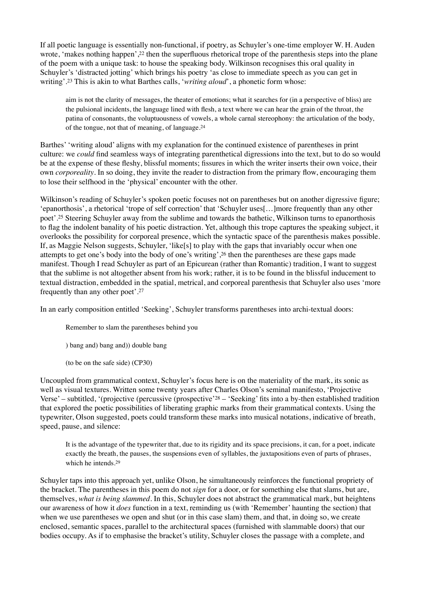If all poetic language is essentially non-functional, if poetry, as Schuyler's one-time employer W. H. Auden wrote[,](#page-12-21) 'makes nothing happen',  $2<sup>2</sup>$  then the superfluous rhetorical trope of the parenthesis steps into the plane of the poem with a unique task: to house the speaking body. Wilkinson recognises this oral quality in Schuyler's 'distracted jotting' which brings his poetry 'as close to immediate speech as you can get in writing'.<sup>23</sup> This is akin to what Barthes calls, '*writing aloud*', a phonetic form whose:

<span id="page-3-2"></span><span id="page-3-1"></span><span id="page-3-0"></span>aim is not the clarity of messages, the theater of emotions; what it searches for (in a perspective of bliss) are the pulsional incidents, the language lined with flesh, a text where we can hear the grain of the throat, the patina of consonants, the voluptuousness of vowels, a whole carnal stereophony: the articulation of the body, of the tongue, not that of meaning, of language.[24](#page-12-23)

Barthes' 'writing aloud' aligns with my explanation for the continued existence of parentheses in print culture: we *could* find seamless ways of integrating parenthetical digressions into the text, but to do so would be at the expense of these fleshy, blissful moments; fissures in which the writer inserts their own voice, their own *corporeality*. In so doing, they invite the reader to distraction from the primary flow, encouraging them to lose their selfhood in the 'physical' encounter with the other.

<span id="page-3-3"></span>Wilkinson's reading of Schuyler's spoken poetic focuses not on parentheses but on another digressive figure; 'epanorthosis', a rhetorical 'trope of self correction' that 'Schuyler uses[…]more frequently than any other poet'[.](#page-12-24)<sup>[25](#page-12-24)</sup> Steering Schuyler away from the sublime and towards the bathetic, Wilkinson turns to epanorthosis to flag the indolent banality of his poetic distraction. Yet, although this trope captures the speaking subject, it overlooks the possibility for corporeal presence, which the syntactic space of the parenthesis makes possible. If, as Maggie Nelson suggests, Schuyler, 'like[s] to play with the gaps that invariably occur when one attempts to get one's body into the body of one's writing', [26](#page-12-25) then the parentheses are these gaps made manifest. Though I read Schuyler as part of an Epicurean (rather than Romantic) tradition, I want to suggest that the sublime is not altogether absent from his work; rather, it is to be found in the blissful inducement to textual distraction, embedded in the spatial, metrical, and corporeal parenthesis that Schuyler also uses 'more frequently than any other poet'.[27](#page-13-0)

In an early composition entitled 'Seeking', Schuyler transforms parentheses into archi-textual doors:

<span id="page-3-5"></span><span id="page-3-4"></span>Remember to slam the parentheses behind you

) bang and) bang and)) double bang

<span id="page-3-6"></span>(to be on the safe side) (CP30)

Uncoupled from grammatical context, Schuyler's focus here is on the materiality of the mark, its sonic as well as visual textures. Written some twenty years after Charles Olson's seminal manifesto, 'Projective Verse['](#page-13-1) – subtitled, '(projective (percussive (prospective'  $28 28 -$  'Seeking' fits into a by-then established tradition that explored the poetic possibilities of liberating graphic marks from their grammatical contexts. Using the typewriter, Olson suggested, poets could transform these marks into musical notations, indicative of breath, speed, pause, and silence:

<span id="page-3-7"></span>It is the advantage of the typewriter that, due to its rigidity and its space precisions, it can, for a poet, indicate exactly the breath, the pauses, the suspensions even of syllables, the juxtapositions even of parts of phrases, which he intends.[29](#page-13-2)

Schuyler taps into this approach yet, unlike Olson, he simultaneously reinforces the functional propriety of the bracket. The parentheses in this poem do not *sign* for a door, or for something else that slams, but are, themselves, *what is being slammed*. In this, Schuyler does not abstract the grammatical mark, but heightens our awareness of how it *does* function in a text, reminding us (with 'Remember' haunting the section) that when we use parentheses we open and shut (or in this case slam) them, and that, in doing so, we create enclosed, semantic spaces, parallel to the architectural spaces (furnished with slammable doors) that our bodies occupy. As if to emphasise the bracket's utility, Schuyler closes the passage with a complete, and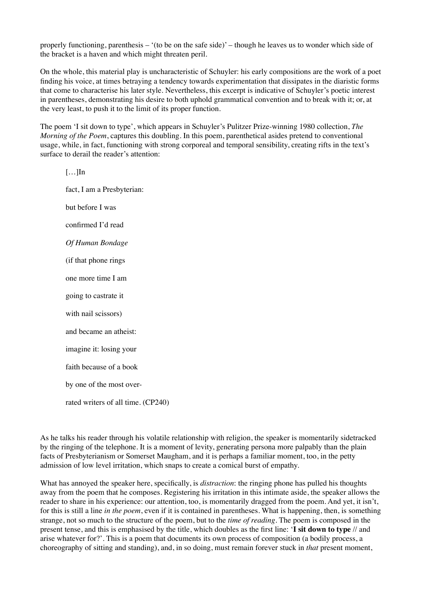properly functioning, parenthesis – '(to be on the safe side)' – though he leaves us to wonder which side of the bracket is a haven and which might threaten peril.

On the whole, this material play is uncharacteristic of Schuyler: his early compositions are the work of a poet finding his voice, at times betraying a tendency towards experimentation that dissipates in the diaristic forms that come to characterise his later style. Nevertheless, this excerpt is indicative of Schuyler's poetic interest in parentheses, demonstrating his desire to both uphold grammatical convention and to break with it; or, at the very least, to push it to the limit of its proper function.

The poem 'I sit down to type', which appears in Schuyler's Pulitzer Prize-winning 1980 collection, *The Morning of the Poem*, captures this doubling. In this poem, parenthetical asides pretend to conventional usage, while, in fact, functioning with strong corporeal and temporal sensibility, creating rifts in the text's surface to derail the reader's attention:

 $[...]$ fact, I am a Presbyterian: but before I was confirmed I'd read *Of Human Bondage* (if that phone rings one more time I am going to castrate it with nail scissors) and became an atheist: imagine it: losing your faith because of a book by one of the most overrated writers of all time. (CP240)

As he talks his reader through his volatile relationship with religion, the speaker is momentarily sidetracked by the ringing of the telephone. It is a moment of levity, generating persona more palpably than the plain facts of Presbyterianism or Somerset Maugham, and it is perhaps a familiar moment, too, in the petty admission of low level irritation, which snaps to create a comical burst of empathy.

What has annoyed the speaker here, specifically, is *distraction*: the ringing phone has pulled his thoughts away from the poem that he composes. Registering his irritation in this intimate aside, the speaker allows the reader to share in his experience: our attention, too, is momentarily dragged from the poem. And yet, it isn't, for this is still a line *in the poem*, even if it is contained in parentheses. What is happening, then, is something strange, not so much to the structure of the poem, but to the *time of reading*. The poem is composed in the present tense, and this is emphasised by the title, which doubles as the first line: '**I sit down to type** // and arise whatever for?'. This is a poem that documents its own process of composition (a bodily process, a choreography of sitting and standing), and, in so doing, must remain forever stuck in *that* present moment,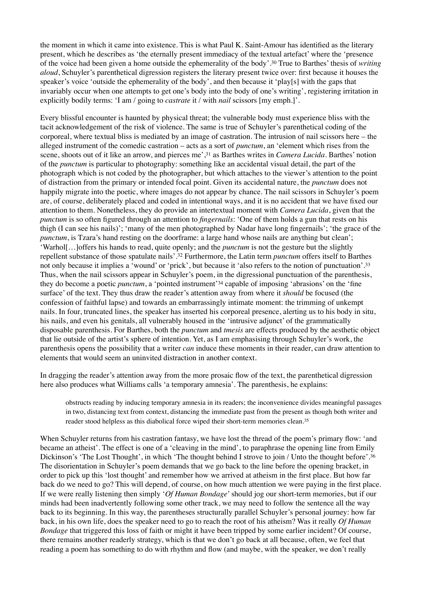<span id="page-5-0"></span>the moment in which it came into existence. This is what Paul K. Saint-Amour has identified as the literary present, which he describes as 'the eternally present immediacy of the textual artefact' where the 'presence of the voice had been given a home outside the ephemerality of the body'. True to Barthes' thesis of *writing* <sup>30</sup> *aloud*, Schuyler's parenthetical digression registers the literary present twice over: first because it houses the speaker's voice 'outside the ephemerality of the body', and then because it 'play[s] with the gaps that invariably occur when one attempts to get one's body into the body of one's writing', registering irritation in explicitly bodily terms: 'I am / going to *castrate* it / with *nail* scissors [my emph.]'.

<span id="page-5-1"></span>Every blissful encounter is haunted by physical threat; the vulnerable body must experience bliss with the tacit acknowledgement of the risk of violence. The same is true of Schuyler's parenthetical coding of the corporeal, where textual bliss is mediated by an image of castration. The intrusion of nail scissors here – the alleged instrument of the comedic castration – acts as a sort of *punctum*, an 'element which rises from the scene[,](#page-13-4) shoots out of it like an arrow, and pierces me',<sup>31</sup> as Barthes writes in *Camera Lucida*. Barthes' notion of the *punctum* is particular to photography: something like an accidental visual detail, the part of the photograph which is not coded by the photographer, but which attaches to the viewer's attention to the point of distraction from the primary or intended focal point. Given its accidental nature, the *punctum* does not happily migrate into the poetic, where images do not appear by chance. The nail scissors in Schuyler's poem are, of course, deliberately placed and coded in intentional ways, and it is no accident that we have fixed our attention to them. Nonetheless, they do provide an intertextual moment with *Camera Lucida*, given that the *punctum* is so often figured through an attention to *fingernails*: 'One of them holds a gun that rests on his thigh (I can see his nails)'; 'many of the men photographed by Nadar have long fingernails'; 'the grace of the *punctum*, is Tzara's hand resting on the doorframe: a large hand whose nails are anything but clean'; 'Warhol[…]offers his hands to read, quite openly; and the *punctum* is not the gesture but the slightly repellent substance of those spatulate nails<sup>'</sup>.<sup>32</sup> Furthermore, the Latin term *punctum* offers itself to Barthes not only because it implies a 'wound' or 'prick', but because it 'also refers to the notion of punctuation'[.33](#page-13-6) Thus, when the nail scissors appear in Schuyler's poem, in the digressional punctuation of the parenthesis, they do become a poetic *punctum*, a 'pointed instrument'<sup>34</sup> capable of imposing 'abrasions['](#page-13-7) on the 'fine surface' of the text. They thus draw the reader's attention away from where it *should* be focused (the confession of faithful lapse) and towards an embarrassingly intimate moment: the trimming of unkempt nails. In four, truncated lines, the speaker has inserted his corporeal presence, alerting us to his body in situ, his nails, and even his genitals, all vulnerably housed in the 'intrusive adjunct' of the grammatically disposable parenthesis. For Barthes, both the *punctum* and *tmesis* are effects produced by the aesthetic object that lie outside of the artist's sphere of intention. Yet, as I am emphasising through Schuyler's work, the parenthesis opens the possibility that a writer *can* induce these moments in their reader, can draw attention to elements that would seem an uninvited distraction in another context.

<span id="page-5-2"></span>In dragging the reader's attention away from the more prosaic flow of the text, the parenthetical digression here also produces what Williams calls 'a temporary amnesia'. The parenthesis, he explains:

<span id="page-5-6"></span><span id="page-5-5"></span><span id="page-5-4"></span><span id="page-5-3"></span>obstructs reading by inducing temporary amnesia in its readers; the inconvenience divides meaningful passages in two, distancing text from context, distancing the immediate past from the present as though both writer and reader stood helpless as this diabolical force wiped their short-term memories clean[.35](#page-13-8)

When Schuyler returns from his castration fantasy, we have lost the thread of the poem's primary flow: 'and became an atheist'. The effect is one of a 'cleaving in the mind', to paraphrase the opening line from Emily Dickinson's 'The Lost Thought', in which 'The thought behind I strove to join / Unto the thought before'.<sup>36</sup> The disorientation in Schuyler's poem demands that we go back to the line before the opening bracket, in order to pick up this 'lost thought' and remember how we arrived at atheism in the first place. But how far back do we need to go? This will depend, of course, on how much attention we were paying in the first place. If we were really listening then simply '*Of Human Bondage*' should jog our short-term memories, but if our minds had been inadvertently following some other track, we may need to follow the sentence all the way back to its beginning. In this way, the parentheses structurally parallel Schuyler's personal journey: how far back, in his own life, does the speaker need to go to reach the root of his atheism? Was it really *Of Human Bondage* that triggered this loss of faith or might it have been tripped by some earlier incident? Of course, there remains another readerly strategy, which is that we don't go back at all because, often, we feel that reading a poem has something to do with rhythm and flow (and maybe, with the speaker, we don't really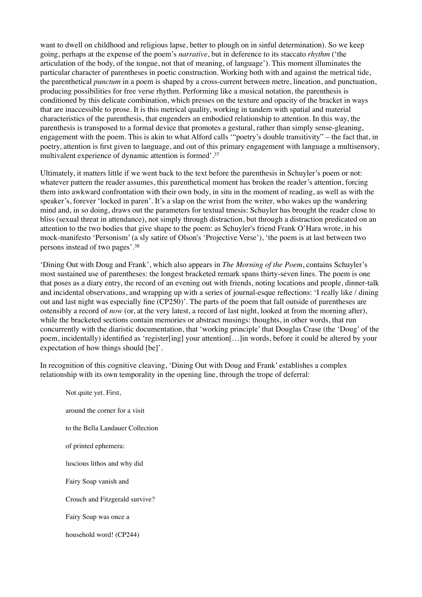want to dwell on childhood and religious lapse, better to plough on in sinful determination). So we keep going, perhaps at the expense of the poem's *narrative*, but in deference to its staccato *rhythm* ('the articulation of the body, of the tongue, not that of meaning, of language'). This moment illuminates the particular character of parentheses in poetic construction. Working both with and against the metrical tide, the parenthetical *punctum* in a poem is shaped by a cross-current between metre, lineation, and punctuation, producing possibilities for free verse rhythm. Performing like a musical notation, the parenthesis is conditioned by this delicate combination, which presses on the texture and opacity of the bracket in ways that are inaccessible to prose. It is this metrical quality, working in tandem with spatial and material characteristics of the parenthesis, that engenders an embodied relationship to attention. In this way, the parenthesis is transposed to a formal device that promotes a gestural, rather than simply sense-gleaning, engagement with the poem. This is akin to what Alford calls '"poetry's double transitivity" – the fact that, in poetry, attention is first given to language, and out of this primary engagement with language a multisensory, multivalent experience of dynamic attention is formed'.[37](#page-13-10)

<span id="page-6-0"></span>Ultimately, it matters little if we went back to the text before the parenthesis in Schuyler's poem or not: whatever pattern the reader assumes, this parenthetical moment has broken the reader's attention, forcing them into awkward confrontation with their own body, in situ in the moment of reading, as well as with the speaker's, forever 'locked in paren'. It's a slap on the wrist from the writer, who wakes up the wandering mind and, in so doing, draws out the parameters for textual tmesis: Schuyler has brought the reader close to bliss (sexual threat in attendance), not simply through distraction, but through a distraction predicated on an attention to the two bodies that give shape to the poem: as Schuyler's friend Frank O'Hara wrote, in his mock-manifesto 'Personism' (a sly satire of Olson's 'Projective Verse'), 'the poem is at last between two persons instead of two pages'.[38](#page-13-11)

<span id="page-6-1"></span>'Dining Out with Doug and Frank', which also appears in *The Morning of the Poem*, contains Schuyler's most sustained use of parentheses: the longest bracketed remark spans thirty-seven lines. The poem is one that poses as a diary entry, the record of an evening out with friends, noting locations and people, dinner-talk and incidental observations, and wrapping up with a series of journal-esque reflections: 'I really like / dining out and last night was especially fine (CP250)'. The parts of the poem that fall outside of parentheses are ostensibly a record of *now* (or, at the very latest, a record of last night, looked at from the morning after), while the bracketed sections contain memories or abstract musings: thoughts, in other words, that run concurrently with the diaristic documentation, that 'working principle' that Douglas Crase (the 'Doug' of the poem, incidentally) identified as 'register[ing] your attention[…]in words, before it could be altered by your expectation of how things should [be]'.

In recognition of this cognitive cleaving, 'Dining Out with Doug and Frank' establishes a complex relationship with its own temporality in the opening line, through the trope of deferral:

Not quite yet. First, around the corner for a visit to the Bella Landauer Collection of printed ephemera: luscious lithos and why did Fairy Soap vanish and Crouch and Fitzgerald survive? Fairy Soap was once a household word! (CP244)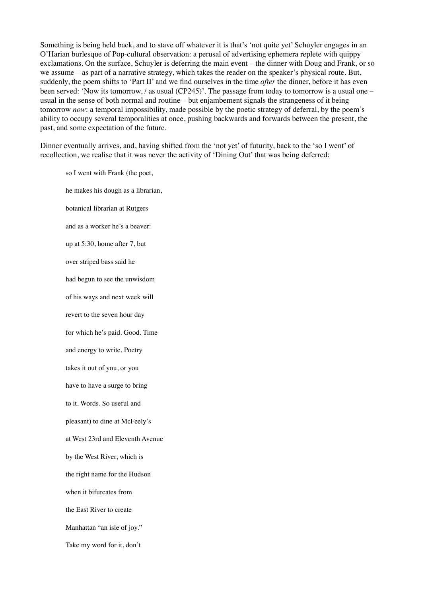Something is being held back, and to stave off whatever it is that's 'not quite yet' Schuyler engages in an O'Harian burlesque of Pop-cultural observation: a perusal of advertising ephemera replete with quippy exclamations. On the surface, Schuyler is deferring the main event – the dinner with Doug and Frank, or so we assume – as part of a narrative strategy, which takes the reader on the speaker's physical route. But, suddenly, the poem shifts to 'Part II' and we find ourselves in the time *after* the dinner, before it has even been served: 'Now its tomorrow, / as usual (CP245)'. The passage from today to tomorrow is a usual one – usual in the sense of both normal and routine – but enjambement signals the strangeness of it being tomorrow *now*: a temporal impossibility, made possible by the poetic strategy of deferral, by the poem's ability to occupy several temporalities at once, pushing backwards and forwards between the present, the past, and some expectation of the future.

Dinner eventually arrives, and, having shifted from the 'not yet' of futurity, back to the 'so I went' of recollection, we realise that it was never the activity of 'Dining Out' that was being deferred:

so I went with Frank (the poet, he makes his dough as a librarian, botanical librarian at Rutgers and as a worker he's a beaver: up at 5:30, home after 7, but over striped bass said he had begun to see the unwisdom of his ways and next week will revert to the seven hour day for which he's paid. Good. Time and energy to write. Poetry takes it out of you, or you have to have a surge to bring to it. Words. So useful and pleasant) to dine at McFeely's at West 23rd and Eleventh Avenue by the West River, which is the right name for the Hudson when it bifurcates from the East River to create Manhattan "an isle of joy." Take my word for it, don't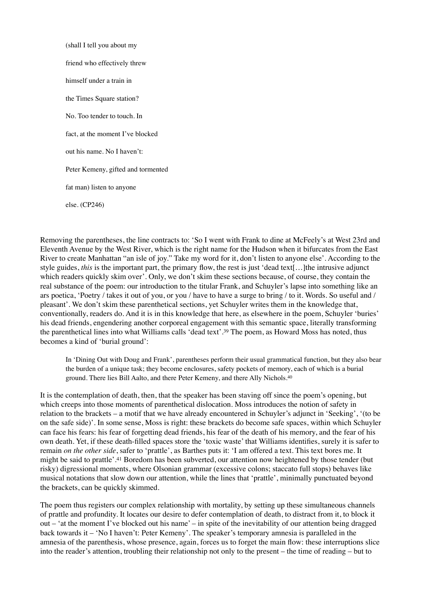(shall I tell you about my friend who effectively threw himself under a train in the Times Square station? No. Too tender to touch. In fact, at the moment I've blocked out his name. No I haven't: Peter Kemeny, gifted and tormented fat man) listen to anyone else. (CP246)

Removing the parentheses, the line contracts to: 'So I went with Frank to dine at McFeely's at West 23rd and Eleventh Avenue by the West River, which is the right name for the Hudson when it bifurcates from the East River to create Manhattan "an isle of joy." Take my word for it, don't listen to anyone else'. According to the style guides, *this* is the important part, the primary flow, the rest is just 'dead text[…]the intrusive adjunct which readers quickly skim over'. Only, we don't skim these sections because, of course, they contain the real substance of the poem: our introduction to the titular Frank, and Schuyler's lapse into something like an ars poetica, 'Poetry / takes it out of you, or you / have to have a surge to bring / to it. Words. So useful and / pleasant'. We don't skim these parenthetical sections, yet Schuyler writes them in the knowledge that, conventionally, readers do. And it is in this knowledge that here, as elsewhere in the poem, Schuyler 'buries' his dead friends, engendering another corporeal engagement with this semantic space, literally transforming the parenthetical lines into what Williams calls 'dead text'.<sup>[39](#page-13-12)</sup> The poem, as Howard Moss has noted, thus becomes a kind of 'burial ground':

<span id="page-8-1"></span><span id="page-8-0"></span>In 'Dining Out with Doug and Frank', parentheses perform their usual grammatical function, but they also bear the burden of a unique task; they become enclosures, safety pockets of memory, each of which is a burial ground. There lies Bill Aalto, and there Peter Kemeny, and there Ally Nichols.[40](#page-13-13)

It is the contemplation of death, then, that the speaker has been staving off since the poem's opening, but which creeps into those moments of parenthetical dislocation. Moss introduces the notion of safety in relation to the brackets – a motif that we have already encountered in Schuyler's adjunct in 'Seeking', '(to be on the safe side)'. In some sense, Moss is right: these brackets do become safe spaces, within which Schuyler can face his fears: his fear of forgetting dead friends, his fear of the death of his memory, and the fear of his own death. Yet, if these death-filled spaces store the 'toxic waste' that Williams identifies, surely it is safer to remain *on the other side*, safer to 'prattle', as Barthes puts it: 'I am offered a text. This text bores me. It mightbe said to prattle'.<sup>[41](#page-13-14)</sup> Boredom has been subverted, our attention now heightened by those tender (but risky) digressional moments, where Olsonian grammar (excessive colons; staccato full stops) behaves like musical notations that slow down our attention, while the lines that 'prattle', minimally punctuated beyond the brackets, can be quickly skimmed.

<span id="page-8-2"></span>The poem thus registers our complex relationship with mortality, by setting up these simultaneous channels of prattle and profundity. It locates our desire to defer contemplation of death, to distract from it, to block it out – 'at the moment I've blocked out his name' – in spite of the inevitability of our attention being dragged back towards it – 'No I haven't: Peter Kemeny'. The speaker's temporary amnesia is paralleled in the amnesia of the parenthesis, whose presence, again, forces us to forget the main flow: these interruptions slice into the reader's attention, troubling their relationship not only to the present – the time of reading – but to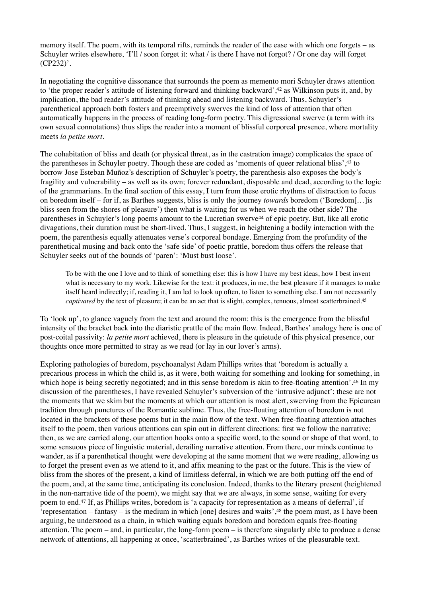memory itself. The poem, with its temporal rifts, reminds the reader of the ease with which one forgets – as Schuyler writes elsewhere, 'I'll / soon forget it: what / is there I have not forgot? / Or one day will forget (CP232)'.

<span id="page-9-0"></span>In negotiating the cognitive dissonance that surrounds the poem as memento mori Schuyler draws attention to 'the proper reader's attitude of listening forward and thinking backward'[,](#page-13-15) <sup>[42](#page-13-15)</sup> as Wilkinson puts it, and, by implication, the bad reader's attitude of thinking ahead and listening backward. Thus, Schuyler's parenthetical approach both fosters and preemptively swerves the kind of loss of attention that often automatically happens in the process of reading long-form poetry. This digressional swerve (a term with its own sexual connotations) thus slips the reader into a moment of blissful corporeal presence, where mortality meets *la petite mort*.

The cohabitation of bliss and death (or physical threat, as in the castration image) complicates the space of the parentheses in Schuyler poetry. Though these are coded as 'moments of queer relational bliss',  $43$  to borrow Jose Esteban Muñoz's description of Schuyler's poetry, the parenthesis also exposes the body's fragility and vulnerability – as well as its own; forever redundant, disposable and dead, according to the logic of the grammarians. In the final section of this essay, I turn from these erotic rhythms of distraction to focus on boredom itself – for if, as Barthes suggests, bliss is only the journey *towards* boredom ('Boredom[…]is bliss seen from the shores of pleasure') then what is waiting for us when we reach the other side? The parentheses in Schuyler's long poems amount to the Lucretian swerve<sup>[44](#page-13-17)</sup> of epic poetry. But, like all erotic divagations, their duration must be short-lived. Thus, I suggest, in heightening a bodily interaction with the poem, the parenthesis equally attenuates verse's corporeal bondage. Emerging from the profundity of the parenthetical musing and back onto the 'safe side' of poetic prattle, boredom thus offers the release that Schuyler seeks out of the bounds of 'paren': 'Must bust loose'.

<span id="page-9-4"></span><span id="page-9-3"></span><span id="page-9-2"></span><span id="page-9-1"></span>To be with the one I love and to think of something else: this is how I have my best ideas, how I best invent what is necessary to my work. Likewise for the text: it produces, in me, the best pleasure if it manages to make itself heard indirectly; if, reading it, I am led to look up often, to listen to something else. I am not necessarily *captivated* by the text of pleasure; it can be an act that is slight, complex, tenuous, almost scatterbrained.<sup>[45](#page-13-18)</sup>

To 'look up', to glance vaguely from the text and around the room: this is the emergence from the blissful intensity of the bracket back into the diaristic prattle of the main flow. Indeed, Barthes' analogy here is one of post-coital passivity: *la petite mort* achieved, there is pleasure in the quietude of this physical presence, our thoughts once more permitted to stray as we read (or lay in our lover's arms).

<span id="page-9-6"></span><span id="page-9-5"></span>Exploring pathologies of boredom, psychoanalyst Adam Phillips writes that 'boredom is actually a precarious process in which the child is, as it were, both waiting for something and looking for something, in which hope is being secretly negotiated; and in this sense boredom is akin to free-floating attention'.<sup>[46](#page-13-19)</sup> In my discussion of the parentheses, I have revealed Schuyler's subversion of the 'intrusive adjunct': these are not the moments that we skim but the moments at which our attention is most alert, swerving from the Epicurean tradition through punctures of the Romantic sublime. Thus, the free-floating attention of boredom is not located in the brackets of these poems but in the main flow of the text. When free-floating attention attaches itself to the poem, then various attentions can spin out in different directions: first we follow the narrative; then, as we are carried along, our attention hooks onto a specific word, to the sound or shape of that word, to some sensuous piece of linguistic material, derailing narrative attention. From there, our minds continue to wander, as if a parenthetical thought were developing at the same moment that we were reading, allowing us to forget the present even as we attend to it, and affix meaning to the past or the future. This is the view of bliss from the shores of the present, a kind of limitless deferral, in which we are both putting off the end of the poem, and, at the same time, anticipating its conclusion. Indeed, thanks to the literary present (heightened in the non-narrative tide of the poem), we might say that we are always, in some sense, waiting for every poem to end.<sup>[47](#page-13-20)</sup> If, as Phillips writes, boredom is 'a capacity for representation as a means of deferral', if 'representation – fantasy – is the medium in which [one] desires and waits',  $48$  the poem must, as I have been arguing, be understood as a chain, in which waiting equals boredom and boredom equals free-floating attention. The poem – and, in particular, the long-form poem – is therefore singularly able to produce a dense network of attentions, all happening at once, 'scatterbrained', as Barthes writes of the pleasurable text.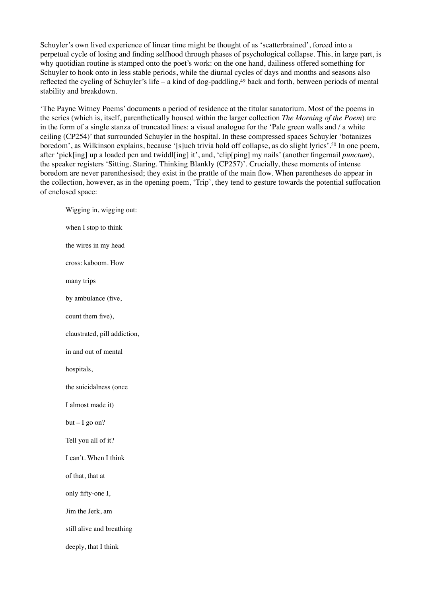Schuyler's own lived experience of linear time might be thought of as 'scatterbrained', forced into a perpetual cycle of losing and finding selfhood through phases of psychological collapse. This, in large part, is why quotidian routine is stamped onto the poet's work: on the one hand, dailiness offered something for Schuyler to hook onto in less stable periods, while the diurnal cycles of days and months and seasons also reflected the cycling of Schuyler's life – a kind of dog-paddling[,](#page-13-22) $49$  back and forth, between periods of mental stability and breakdown.

<span id="page-10-0"></span>'The Payne Witney Poems' documents a period of residence at the titular sanatorium. Most of the poems in the series (which is, itself, parenthetically housed within the larger collection *The Morning of the Poem*) are in the form of a single stanza of truncated lines: a visual analogue for the 'Pale green walls and / a white ceiling (CP254)' that surrounded Schuyler in the hospital. In these compressed spaces Schuyler 'botanizes boredom', as Wilkinson explains, because '[s]uch trivia hold off collapse, as do slight lyrics'.<sup>[50](#page-14-0)</sup> In one poem, after 'pick[ing] up a loaded pen and twiddl[ing] it', and, 'clip[ping] my nails' (another fingernail *punctum*), the speaker registers 'Sitting. Staring. Thinking Blankly (CP257)'. Crucially, these moments of intense boredom are never parenthesised; they exist in the prattle of the main flow. When parentheses do appear in the collection, however, as in the opening poem, 'Trip', they tend to gesture towards the potential suffocation of enclosed space:

<span id="page-10-1"></span>Wigging in, wigging out: when I stop to think the wires in my head cross: kaboom. How many trips by ambulance (five, count them five), claustrated, pill addiction, in and out of mental hospitals, the suicidalness (once I almost made it)  $but - I go on?$ Tell you all of it? I can't. When I think of that, that at only fifty-one I, Jim the Jerk, am still alive and breathing deeply, that I think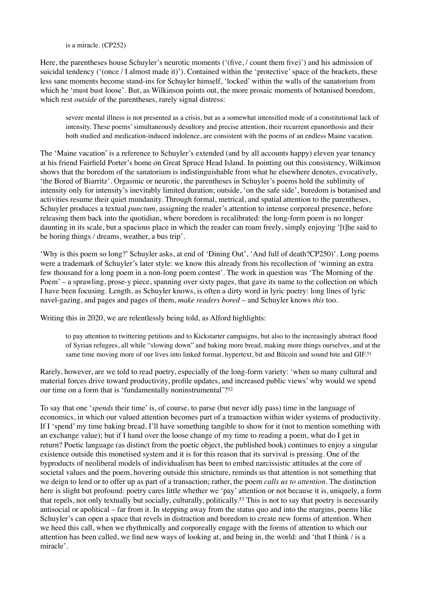is a miracle. (CP252)

Here, the parentheses house Schuyler's neurotic moments ('(five, / count them five)') and his admission of suicidal tendency ('(once / I almost made it)'). Contained within the 'protective' space of the brackets, these less sane moments become stand-ins for Schuyler himself, 'locked' within the walls of the sanatorium from which he 'must bust loose'. But, as Wilkinson points out, the more prosaic moments of botanised boredom, which rest *outside* of the parentheses, rarely signal distress:

severe mental illness is not presented as a crisis, but as a somewhat intensified mode of a constitutional lack of intensity. These poems' simultaneously desultory and precise attention, their recurrent epanorthosis and their both studied and medication-induced indolence, are consistent with the poems of an endless Maine vacation.

The 'Maine vacation' is a reference to Schuyler's extended (and by all accounts happy) eleven year tenancy at his friend Fairfield Porter's home on Great Spruce Head Island. In pointing out this consistency, Wilkinson shows that the boredom of the sanatorium is indistinguishable from what he elsewhere denotes, evocatively, 'the Bored of Biarritz'. Orgasmic or neurotic, the parentheses in Schuyler's poems hold the sublimity of intensity only for intensity's inevitably limited duration; outside, 'on the safe side', boredom is botanised and activities resume their quiet mundanity. Through formal, metrical, and spatial attention to the parentheses, Schuyler produces a textual *punctum*, assigning the reader's attention to intense corporeal presence, before releasing them back into the quotidian, where boredom is recalibrated: the long-form poem is no longer daunting in its scale, but a spacious place in which the reader can roam freely, simply enjoying '[t]he said to be boring things / dreams, weather, a bus trip'.

'Why is this poem so long?' Schuyler asks, at end of 'Dining Out', 'And full of death?CP250)'. Long poems were a trademark of Schuyler's later style: we know this already from his recollection of 'winning an extra few thousand for a long poem in a non-long poem contest'. The work in question was 'The Morning of the Poem' – a sprawling, prose-y piece, spanning over sixty pages, that gave its name to the collection on which I have been focusing. Length, as Schuyler knows, is often a dirty word in lyric poetry: long lines of lyric navel-gazing, and pages and pages of them, *make readers bored* – and Schuyler knows *this* too.

Writing this in 2020, we are relentlessly being told, as Alford highlights:

<span id="page-11-1"></span><span id="page-11-0"></span>to pay attention to twittering petitions and to Kickstarter campaigns, but also to the increasingly abstract flood of Syrian refugees, all while "slowing down" and baking more bread, making more things ourselves, and at the same time moving more of our lives into linked format, hypertext, bit and Bitcoin and sound bite and GIF.<sup>[51](#page-14-1)</sup>

Rarely, however, are we told to read poetry, especially of the long-form variety: 'when so many cultural and material forces drive toward productivity, profile updates, and increased public views' why would we spend our time on a form that is 'fundamentally noninstrumental'?<sup>52</sup>

<span id="page-11-2"></span>To say that one '*spends* their time' is, of course, to parse (but never idly pass) time in the language of economics, in which our valued attention becomes part of a transaction within wider systems of productivity. If I 'spend' my time baking bread, I'll have something tangible to show for it (not to mention something with an exchange value); but if I hand over the loose change of my time to reading a poem, what do I get in return? Poetic language (as distinct from the poetic object, the published book) continues to enjoy a singular existence outside this monetised system and it is for this reason that its survival is pressing. One of the byproducts of neoliberal models of individualism has been to embed narcissistic attitudes at the core of societal values and the poem, hovering outside this structure, reminds us that attention is not something that we deign to lend or to offer up as part of a transaction; rather, the poem *calls us to attention*. The distinction here is slight but profound: poetry cares little whether we 'pay' attention or not because it is, uniquely, a form that repels, not only textually but socially, culturally, politically.<sup>[53](#page-14-3)</sup> This is not to say that poetry is necessarily antisocial or apolitical – far from it. In stepping away from the status quo and into the margins, poems like Schuyler's can open a space that revels in distraction and boredom to create new forms of attention. When we heed this call, when we rhythmically and corporeally engage with the forms of attention to which our attention has been called, we find new ways of looking at, and being in, the world: and 'that I think / is a miracle'.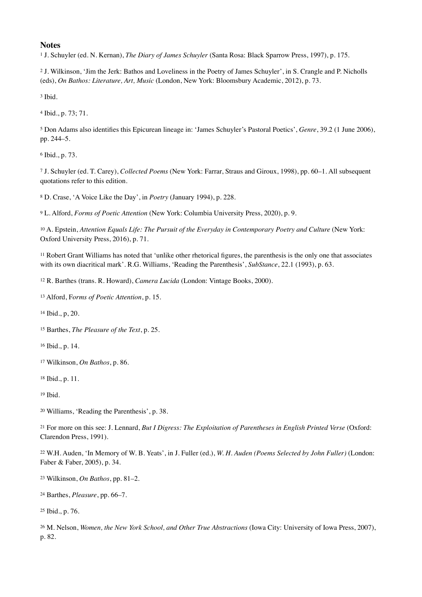## **Notes**

<span id="page-12-0"></span><sup>[1](#page-0-0)</sup> J. Schuyler (ed. N. Kernan), *The Diary of James Schuyler* (Santa Rosa: Black Sparrow Press, 1997), p. 175.

<span id="page-12-1"></span> J. Wilkinson, 'Jim the Jerk: Bathos and Loveliness in the Poetry of James Schuyler', in S. Crangle and P. Nicholls [2](#page-0-1) (eds), *On Bathos: Literature, Art, Music* (London, New York: Bloomsbury Academic, 2012), p. 73.

<span id="page-12-2"></span><sup>[3](#page-1-0)</sup> Ibid.

<span id="page-12-3"></span><sup>[4](#page-1-1)</sup> Ibid., p. 73; 71.

<span id="page-12-4"></span> Don Adams also identifies this Epicurean lineage in: 'James Schuyler's Pastoral Poetics', *Genre*, 39.2 (1 June 2006), [5](#page-1-2) pp. 244–5.

<span id="page-12-5"></span> $6$  Ibid., p. 73.

<span id="page-12-6"></span> J. Schuyler (ed. T. Carey), *Collected Poems* (New York: Farrar, Straus and Giroux, 1998), pp. 60–1. All subsequent [7](#page-1-4) quotations refer to this edition.

<span id="page-12-7"></span><sup>[8](#page-1-5)</sup> D. Crase, 'A Voice Like the Day', in *Poetry* (January 1994), p. 228.

<span id="page-12-8"></span>L. Alford, *Forms of Poetic Attention* (New York: Columbia University Press, 2020), p. 9. [9](#page-1-6)

<span id="page-12-9"></span><sup>[10](#page-1-7)</sup> A. Epstein, *Attention Equals Life: The Pursuit of the Everyday in Contemporary Poetry and Culture* (New York: Oxford University Press, 2016), p. 71.

<span id="page-12-10"></span> $<sup>11</sup>$  $<sup>11</sup>$  $<sup>11</sup>$  Robert Grant Williams has noted that 'unlike other rhetorical figures, the parenthesis is the only one that associates</sup> with its own diacritical mark'. R.G. Williams, 'Reading the Parenthesis', *SubStance*, 22.1 (1993), p. 63.

<span id="page-12-11"></span><sup>[12](#page-1-9)</sup> R. Barthes (trans. R. Howard), *Camera Lucida* (London: Vintage Books, 2000).

<span id="page-12-12"></span><sup>[13](#page-1-10)</sup> Alford, Forms of Poetic Attention, p. 15.

<span id="page-12-13"></span><sup>[14](#page-1-11)</sup> Ibid., p, 20.

<span id="page-12-14"></span><sup>[15](#page-1-12)</sup> Barthes, *The Pleasure of the Text*, p. 25.

<span id="page-12-15"></span><sup>[16](#page-1-13)</sup> Ibid., p. 14.

<span id="page-12-16"></span>Wilkinson, *On Bathos*, p. 86. [17](#page-2-0)

<span id="page-12-17"></span><sup>[18](#page-2-1)</sup> Ibid., p. 11.

<span id="page-12-18"></span>Ibid. [19](#page-2-2)

<span id="page-12-19"></span><sup>[20](#page-2-3)</sup> Williams, 'Reading the Parenthesis', p. 38.

<span id="page-12-20"></span><sup>[21](#page-2-4)</sup> For more on this see: J. Lennard, *But I Digress: The Exploitation of Parentheses in English Printed Verse* (Oxford: Clarendon Press, 1991).

<span id="page-12-21"></span> W.H. Auden, 'In Memory of W. B. Yeats', in J. Fuller (ed.), *W. H. Auden (Poems Selected by John Fuller)* (London: [22](#page-3-0) Faber & Faber, 2005), p. 34.

<span id="page-12-22"></span> $23$  Wilkinson, *On Bathos*, pp. 81–2.

<span id="page-12-23"></span><sup>[24](#page-3-2)</sup> Barthes, *Pleasure*, pp. 66–7.

<span id="page-12-24"></span><sup>[25](#page-3-3)</sup> Ibid., p. 76.

<span id="page-12-25"></span><sup>[26](#page-3-4)</sup> M. Nelson, *Women, the New York School, and Other True Abstractions* (Iowa City: University of Iowa Press, 2007), p. 82.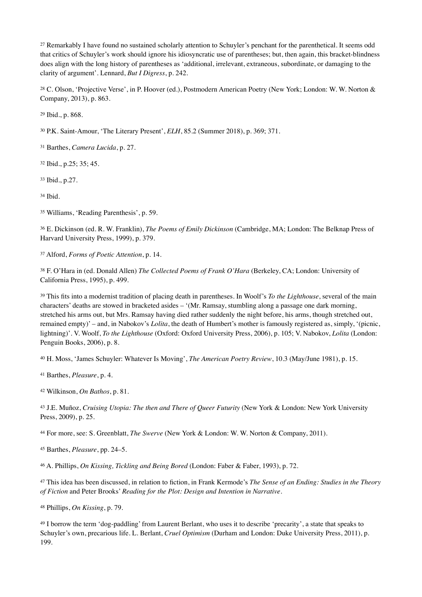<span id="page-13-0"></span><sup>[27](#page-3-5)</sup> Remarkably I have found no sustained scholarly attention to Schuyler's penchant for the parenthetical. It seems odd that critics of Schuyler's work should ignore his idiosyncratic use of parentheses; but, then again, this bracket-blindness does align with the long history of parentheses as 'additional, irrelevant, extraneous, subordinate, or damaging to the clarity of argument'. Lennard, *But I Digress*, p. 242.

<span id="page-13-1"></span><sup>[28](#page-3-6)</sup> C. Olson, 'Projective Verse', in P. Hoover (ed.), Postmodern American Poetry (New York; London: W. W. Norton & Company, 2013), p. 863.

<span id="page-13-2"></span><sup>[29](#page-3-7)</sup> Ibid., p. 868.

<span id="page-13-3"></span><sup>[30](#page-5-0)</sup> P.K. Saint-Amour, 'The Literary Present', *ELH*, 85.2 (Summer 2018), p. 369; 371.

<span id="page-13-4"></span><sup>[31](#page-5-1)</sup> Barthes, *Camera Lucida*, p. 27.

<span id="page-13-5"></span><sup>[32](#page-5-2)</sup> Ibid., p.25; 35; 45.

<span id="page-13-6"></span>[33](#page-5-3) Ibid., p.27.

<span id="page-13-7"></span>[34](#page-5-4) Ibid.

<span id="page-13-8"></span><sup>[35](#page-5-5)</sup> Williams, 'Reading Parenthesis', p. 59.

<span id="page-13-9"></span> E. Dickinson (ed. R. W. Franklin), *The Poems of Emily Dickinson* (Cambridge, MA; London: The Belknap Press of [36](#page-5-6) Harvard University Press, 1999), p. 379.

<span id="page-13-10"></span>Alford, *Forms of Poetic Attention*, p. 14. [37](#page-6-0)

<span id="page-13-11"></span><sup>[38](#page-6-1)</sup> F. O'Hara in (ed. Donald Allen) *The Collected Poems of Frank O'Hara* (Berkeley, CA; London: University of California Press, 1995), p. 499.

<span id="page-13-12"></span><sup>[39](#page-8-0)</sup> This fits into a modernist tradition of placing death in parentheses. In Woolf's *To the Lighthouse*, several of the main characters' deaths are stowed in bracketed asides – '(Mr. Ramsay, stumbling along a passage one dark morning, stretched his arms out, but Mrs. Ramsay having died rather suddenly the night before, his arms, though stretched out, remained empty)' – and, in Nabokov's *Lolita*, the death of Humbert's mother is famously registered as, simply, '(picnic, lightning)'. V. Woolf, *To the Lighthouse* (Oxford: Oxford University Press, 2006), p. 105; V. Nabokov, *Lolita* (London: Penguin Books, 2006), p. 8.

<span id="page-13-13"></span>H. Moss, 'James Schuyler: Whatever Is Moving', *The American Poetry Review*, 10.3 (May/June 1981), p. 15. [40](#page-8-1)

<span id="page-13-14"></span><sup>[41](#page-8-2)</sup> Barthes, *Pleasure*, p. 4.

<span id="page-13-15"></span>Wilkinson, *On Bathos*, p. 81. [42](#page-9-0)

<span id="page-13-16"></span><sup>[43](#page-9-1)</sup> J.E. Muñoz, *Cruising Utopia: The then and There of Queer Futurity* (New York & London: New York University Press, 2009), p. 25.

<span id="page-13-17"></span>For more, see: S. Greenblatt, *The Swerve* (New York & London: W. W. Norton & Company, 2011). [44](#page-9-2)

<span id="page-13-18"></span><sup>[45](#page-9-3)</sup> Barthes, *Pleasure*, pp. 24–5.

<span id="page-13-19"></span>A. Phillips, *On Kissing, Tickling and Being Bored* (London: Faber & Faber, 1993), p. 72. [46](#page-9-4)

<span id="page-13-20"></span> This idea has been discussed, in relation to fiction, in Frank Kermode's *The Sense of an Ending: Studies in the Theory* [47](#page-9-5) *of Fiction* and Peter Brooks' *Reading for the Plot: Design and Intention in Narrative.*

<span id="page-13-21"></span><sup>[48](#page-9-6)</sup> Phillips, *On Kissing*, p. 79.

<span id="page-13-22"></span><sup>[49](#page-10-0)</sup> I borrow the term 'dog-paddling' from Laurent Berlant, who uses it to describe 'precarity', a state that speaks to Schuyler's own, precarious life. L. Berlant, *Cruel Optimism* (Durham and London: Duke University Press, 2011), p. 199.